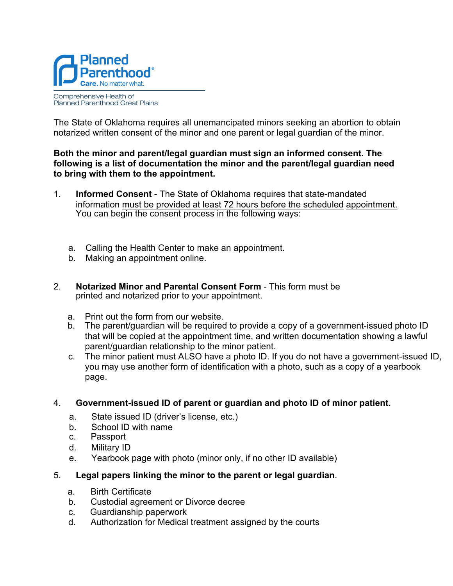

## Comprehensive Health of Planned Parenthood Great Plains

The State of Oklahoma requires all unemancipated minors seeking an abortion to obtain notarized written consent of the minor and one parent or legal guardian of the minor.

## **Both the minor and parent/legal guardian must sign an informed consent. The following is a list of documentation the minor and the parent/legal guardian need to bring with them to the appointment.**

- 1. **Informed Consent**  The State of Oklahoma requires that state-mandated information must be provided at least 72 hours before the scheduled appointment. You can begin the consent process in the following ways:
	- a. Calling the Health Center to make an appointment.
	- b. Making an appointment online.
- 2. **Notarized Minor and Parental Consent Form** This form must be printed and notarized prior to your appointment.
	- a. Print out the form from our website.
	- b. The parent/guardian will be required to provide a copy of a government-issued photo ID that will be copied at the appointment time, and written documentation showing a lawful parent/guardian relationship to the minor patient.
	- c. The minor patient must ALSO have a photo ID. If you do not have a government-issued ID, you may use another form of identification with a photo, such as a copy of a yearbook page.

## 4. **Government-issued ID of parent or guardian and photo ID of minor patient.**

- a. State issued ID (driver's license, etc.)
- b. School ID with name
- c. Passport
- d. Military ID
- e. Yearbook page with photo (minor only, if no other ID available)
- 5. **Legal papers linking the minor to the parent or legal guardian**.
	- a. Birth Certificate
	- b. Custodial agreement or Divorce decree
	- c. Guardianship paperwork
	- d. Authorization for Medical treatment assigned by the courts